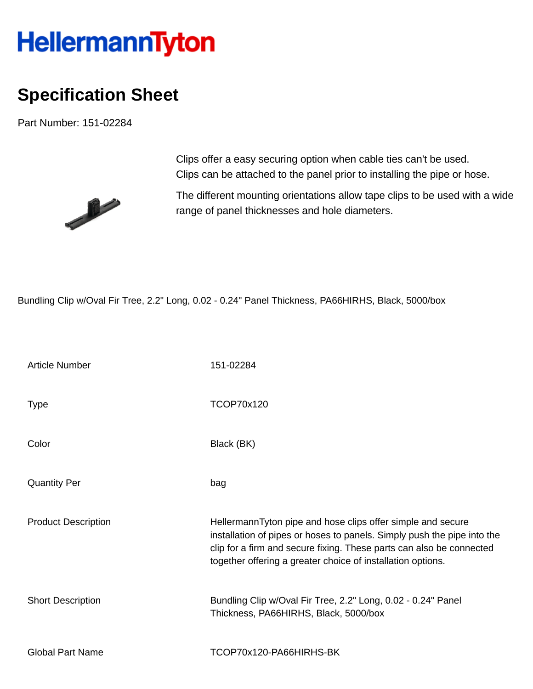## **HellermannTyton**

## **Specification Sheet**

Part Number: 151-02284



Clips offer a easy securing option when cable ties can't be used. Clips can be attached to the panel prior to installing the pipe or hose.

The different mounting orientations allow tape clips to be used with a wide range of panel thicknesses and hole diameters.

Bundling Clip w/Oval Fir Tree, 2.2" Long, 0.02 - 0.24" Panel Thickness, PA66HIRHS, Black, 5000/box

| <b>Article Number</b>      | 151-02284                                                                                                                                                                                                                                                                     |
|----------------------------|-------------------------------------------------------------------------------------------------------------------------------------------------------------------------------------------------------------------------------------------------------------------------------|
| <b>Type</b>                | TCOP70x120                                                                                                                                                                                                                                                                    |
| Color                      | Black (BK)                                                                                                                                                                                                                                                                    |
| <b>Quantity Per</b>        | bag                                                                                                                                                                                                                                                                           |
| <b>Product Description</b> | HellermannTyton pipe and hose clips offer simple and secure<br>installation of pipes or hoses to panels. Simply push the pipe into the<br>clip for a firm and secure fixing. These parts can also be connected<br>together offering a greater choice of installation options. |
| <b>Short Description</b>   | Bundling Clip w/Oval Fir Tree, 2.2" Long, 0.02 - 0.24" Panel<br>Thickness, PA66HIRHS, Black, 5000/box                                                                                                                                                                         |
| <b>Global Part Name</b>    | TCOP70x120-PA66HIRHS-BK                                                                                                                                                                                                                                                       |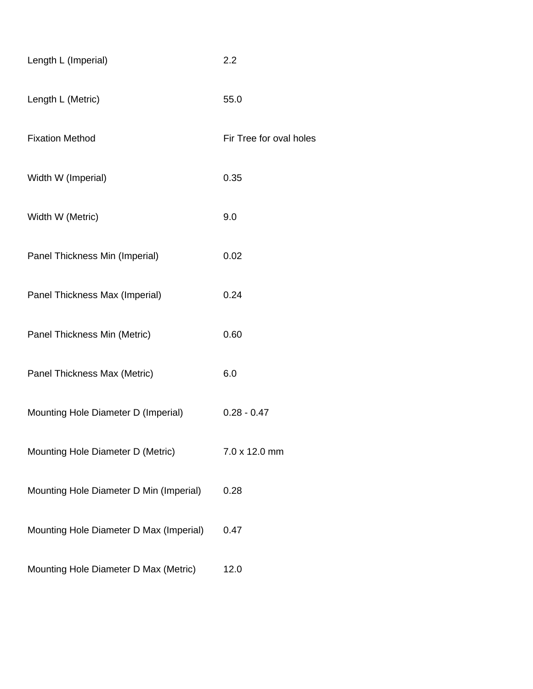| Length L (Imperial)                     | 2.2                     |  |
|-----------------------------------------|-------------------------|--|
| Length L (Metric)                       | 55.0                    |  |
| <b>Fixation Method</b>                  | Fir Tree for oval holes |  |
| Width W (Imperial)                      | 0.35                    |  |
| Width W (Metric)                        | 9.0                     |  |
| Panel Thickness Min (Imperial)          | 0.02                    |  |
| Panel Thickness Max (Imperial)          | 0.24                    |  |
| Panel Thickness Min (Metric)            | 0.60                    |  |
| Panel Thickness Max (Metric)            | 6.0                     |  |
| Mounting Hole Diameter D (Imperial)     | $0.28 - 0.47$           |  |
| Mounting Hole Diameter D (Metric)       | 7.0 x 12.0 mm           |  |
| Mounting Hole Diameter D Min (Imperial) | 0.28                    |  |
| Mounting Hole Diameter D Max (Imperial) | 0.47                    |  |
| Mounting Hole Diameter D Max (Metric)   | 12.0                    |  |